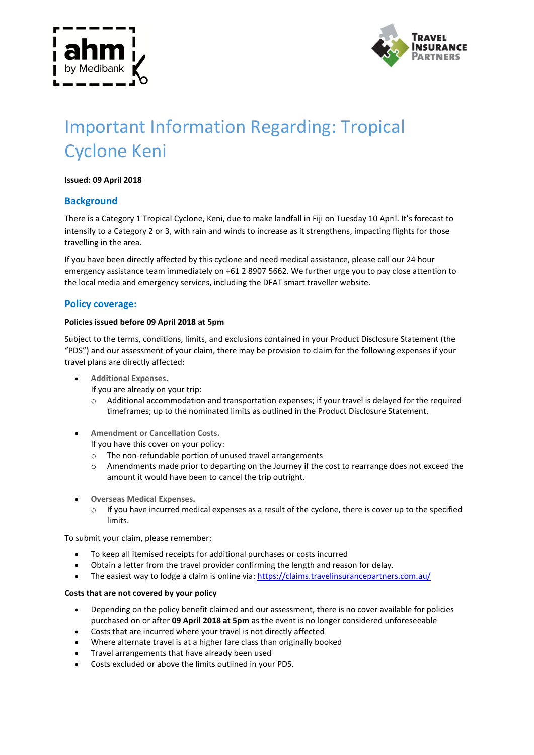



# Important Information Regarding: Tropical Cyclone Keni

#### **Issued: 09 April 2018**

## **Background**

There is a Category 1 Tropical Cyclone, Keni, due to make landfall in Fiji on Tuesday 10 April. It's forecast to intensify to a Category 2 or 3, with rain and winds to increase as it strengthens, impacting flights for those travelling in the area.

If you have been directly affected by this cyclone and need medical assistance, please call our 24 hour emergency assistance team immediately on +61 2 8907 5662. We further urge you to pay close attention to the local media and emergency services, including the DFAT smart traveller website.

### **Policy coverage:**

#### **Policies issued before 09 April 2018 at 5pm**

Subject to the terms, conditions, limits, and exclusions contained in your Product Disclosure Statement (the "PDS") and our assessment of your claim, there may be provision to claim for the following expenses if your travel plans are directly affected:

- **Additional Expenses.**
	- If you are already on your trip:
	- o Additional accommodation and transportation expenses; if your travel is delayed for the required timeframes; up to the nominated limits as outlined in the Product Disclosure Statement.
- **Amendment or Cancellation Costs.**

If you have this cover on your policy:

- o The non-refundable portion of unused travel arrangements
- o Amendments made prior to departing on the Journey if the cost to rearrange does not exceed the amount it would have been to cancel the trip outright.
- **Overseas Medical Expenses.**
	- If you have incurred medical expenses as a result of the cyclone, there is cover up to the specified limits.

To submit your claim, please remember:

- To keep all itemised receipts for additional purchases or costs incurred
- Obtain a letter from the travel provider confirming the length and reason for delay.
- The easiest way to lodge a claim is online via:<https://claims.travelinsurancepartners.com.au/>

#### **Costs that are not covered by your policy**

- Depending on the policy benefit claimed and our assessment, there is no cover available for policies purchased on or after **09 April 2018 at 5pm** as the event is no longer considered unforeseeable
- Costs that are incurred where your travel is not directly affected
- Where alternate travel is at a higher fare class than originally booked
- Travel arrangements that have already been used
- Costs excluded or above the limits outlined in your PDS.